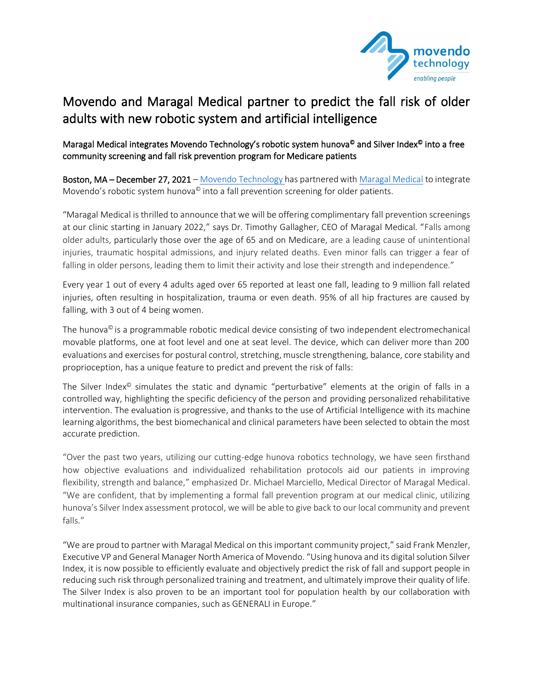

## Movendo and Maragal Medical partner to predict the fall risk of older adults with new robotic system and artificial intelligence

## Maragal Medical integrates Movendo Technology's robotic system hunova<sup>®</sup> and Silver Index<sup>®</sup> into a free community screening and fall risk prevention program for Medicare patients

Boston, MA - December 27, 2021 - [Movendo Technology](https://www.movendo.technology/en/) has partnered with [Maragal Medical](https://maragalmedical.com/) to integrate Movendo's robotic system hunova<sup>©</sup> into a fall prevention screening for older patients.

"Maragal Medical is thrilled to announce that we will be offering complimentary fall prevention screenings at our clinic starting in January 2022," says Dr. Timothy Gallagher, CEO of Maragal Medical. "Falls among older adults, particularly those over the age of 65 and on Medicare, are a leading cause of unintentional injuries, traumatic hospital admissions, and injury related deaths. Even minor falls can trigger a fear of falling in older persons, leading them to limit their activity and lose their strength and independence."

Every year 1 out of every 4 adults aged over 65 reported at least one fall, leading to 9 million fall related injuries, often resulting in hospitalization, trauma or even death. 95% of all hip fractures are caused by falling, with 3 out of 4 being women.

The hunova $<sup>°</sup>$  is a programmable robotic medical device consisting of two independent electromechanical</sup> movable platforms, one at foot level and one at seat level. The device, which can deliver more than 200 evaluations and exercises for postural control, stretching, muscle strengthening, balance, core stability and proprioception, has a unique feature to predict and prevent the risk of falls:

The Silver Index<sup>®</sup> simulates the static and dynamic "perturbative" elements at the origin of falls in a controlled way, highlighting the specific deficiency of the person and providing personalized rehabilitative intervention. The evaluation is progressive, and thanks to the use of Artificial Intelligence with its machine learning algorithms, the best biomechanical and clinical parameters have been selected to obtain the most accurate prediction.

"Over the past two years, utilizing our cutting-edge hunova robotics technology, we have seen firsthand how objective evaluations and individualized rehabilitation protocols aid our patients in improving flexibility, strength and balance," emphasized Dr. Michael Marciello, Medical Director of Maragal Medical. "We are confident, that by implementing a formal fall prevention program at our medical clinic, utilizing hunova's Silver Index assessment protocol, we will be able to give back to our local community and prevent falls."

"We are proud to partner with Maragal Medical on this important community project," said Frank Menzler, Executive VP and General Manager North America of Movendo. "Using hunova and its digital solution Silver Index, it is now possible to efficiently evaluate and objectively predict the risk of fall and support people in reducing such risk through personalized training and treatment, and ultimately improve their quality of life. The Silver Index is also proven to be an important tool for population health by our collaboration with multinational insurance companies, such as GENERALI in Europe."